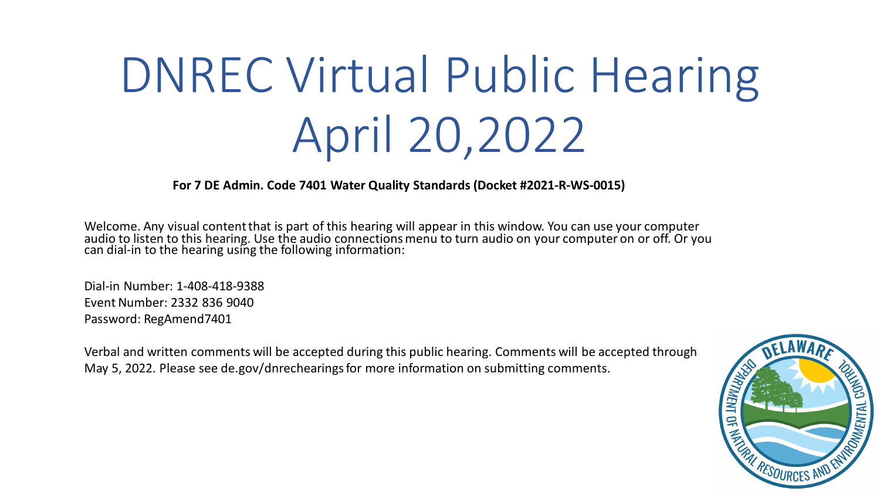# DNREC Virtual Public Hearing April 20,2022

**For 7 DE Admin. Code 7401 Water Quality Standards (Docket #2021-R-WS-0015)**

Welcome. Any visual content that is part of this hearing will appear in this window. You can use your computer audio to listen to this hearing. Use the audio connections menu to turn audio on your computer on or off. Or you can dial-in to the hearing using the following information:

Dial-in Number: 1-408-418-9388 Event Number: 2332 836 9040 Password: RegAmend7401

Verbal and written comments will be accepted during this public hearing. Comments will be accepted through May 5, 2022. Please see de.gov/dnrechearingsfor more information on submitting comments.

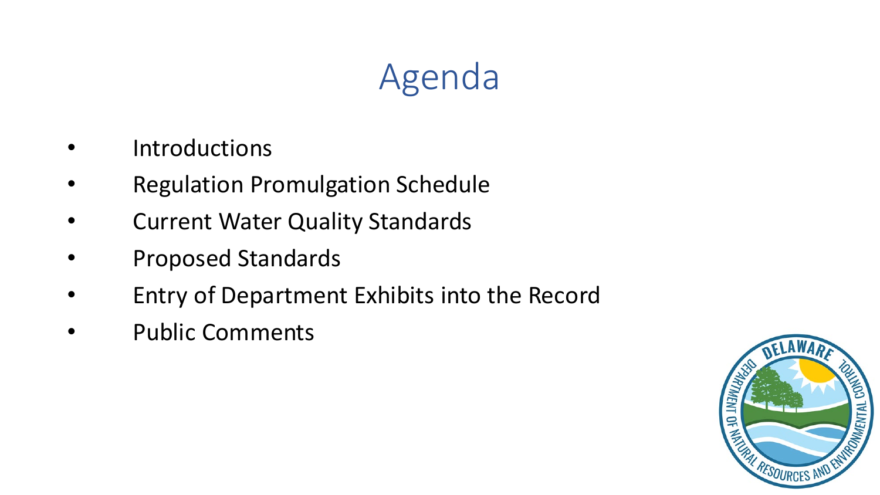# Agenda

- **Introductions**
- Regulation Promulgation Schedule
- **Current Water Quality Standards**
- Proposed Standards
- Entry of Department Exhibits into the Record
- Public Comments

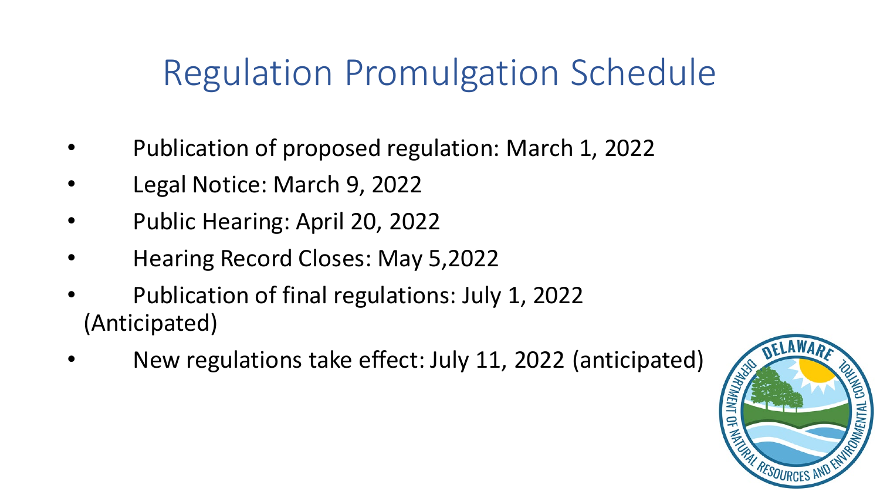# Regulation Promulgation Schedule

- Publication of proposed regulation: March 1, 2022
- Legal Notice: March 9, 2022
- Public Hearing: April 20, 2022
- Hearing Record Closes: May 5,2022
- Publication of final regulations: July 1, 2022 (Anticipated)
- New regulations take effect: July 11, 2022 (anticipated)

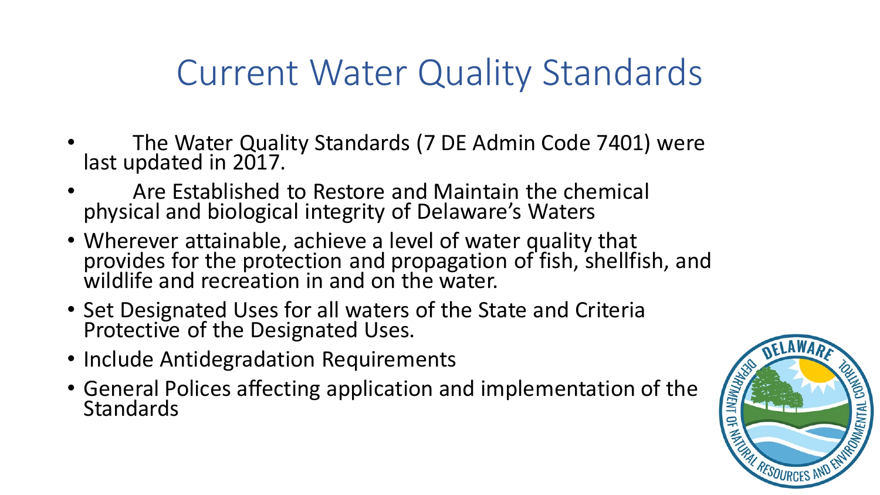# Current Water Quality Standards

- The Water Quality Standards (7 DE Admin Code 7401) were last updated in 2017.
- Are Established to Restore and Maintain the chemical physical and biological integrity of Delaware's Waters
- Wherever attainable, achieve a level of water quality that provides for the protection and propagation of fish, shellfish, and wildlife and recreation in and on the water.
- Set Designated Uses for all waters of the State and Criteria Protective of the Designated Uses.
- Include Antidegradation Requirements
- General Polices affecting application and implementation of the Standards

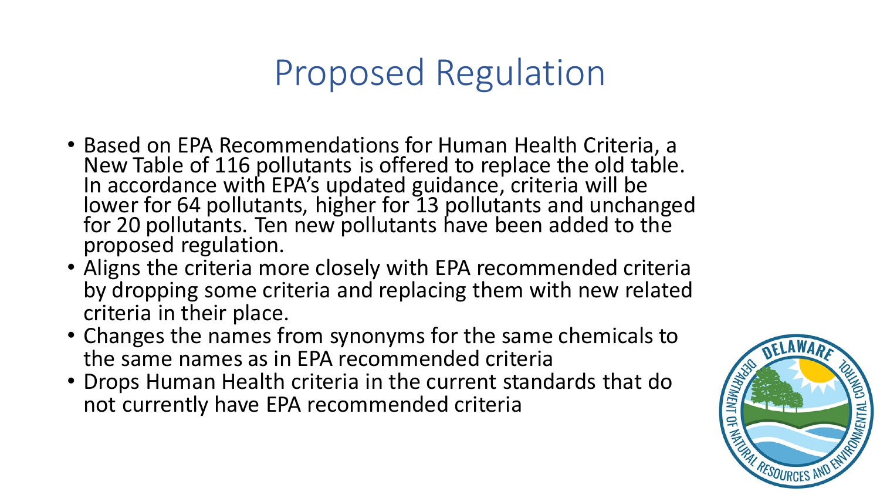# Proposed Regulation

- Based on EPA Recommendations for Human Health Criteria, a New Table of 116 pollutants is offered to replace the old table. In accordance with EPA's updated guidance, criteria will be lower for 64 pollutants, higher for 13 pollutants and unchanged for 20 pollutants. Ten new pollutants have been added to the proposed regulation.
- Aligns the criteria more closely with EPA recommended criteria by dropping some criteria and replacing them with new related criteria in their place.
- Changes the names from synonyms for the same chemicals to the same names as in EPA recommended criteria
- Drops Human Health criteria in the current standards that do<br>not currently have EPA recommended criteria<br>examples that do the currently have EPA recommended criteria not currently have EPA recommended criteria

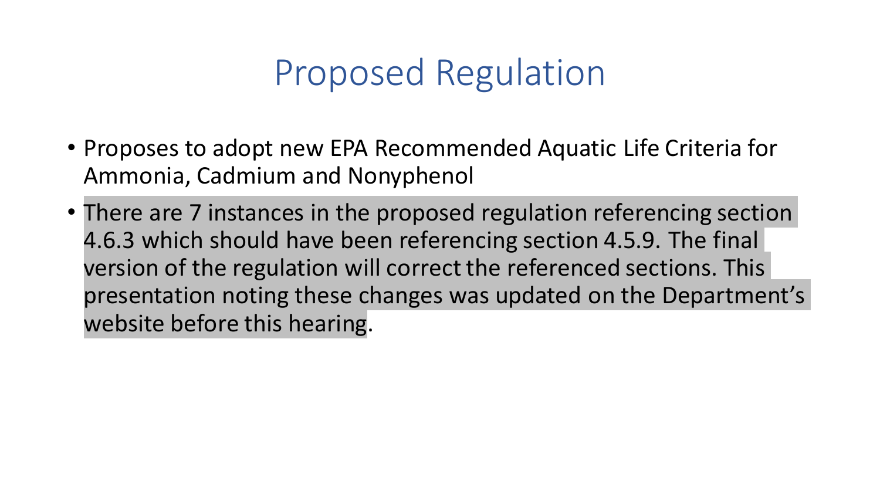# Proposed Regulation

- Proposes to adopt new EPA Recommended Aquatic Life Criteria for Ammonia, Cadmium and Nonyphenol
- There are 7 instances in the proposed regulation referencing section 4.6.3 which should have been referencing section 4.5.9. The final version of the regulation will correct the referenced sections. This presentation noting these changes was updated on the Department's website before this hearing.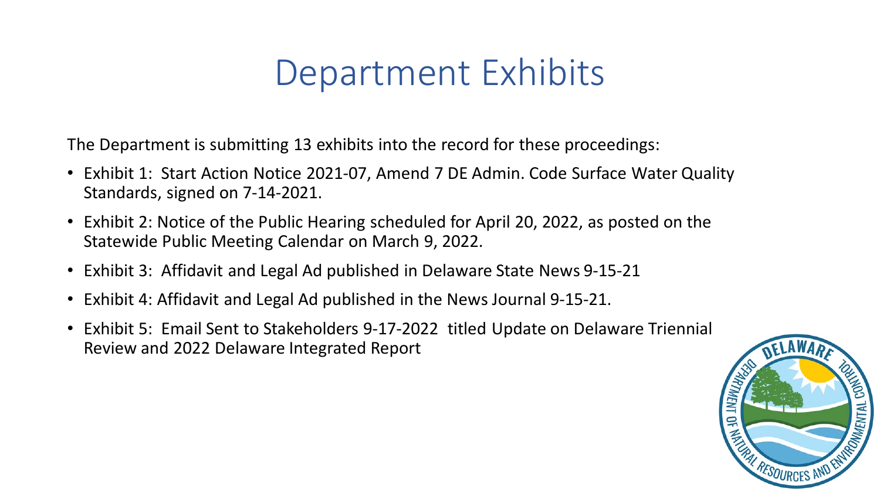#### Department Exhibits

The Department is submitting 13 exhibits into the record for these proceedings:

- Exhibit 1: Start Action Notice 2021-07, Amend 7 DE Admin. Code Surface Water Quality Standards, signed on 7-14-2021.
- Exhibit 2: Notice of the Public Hearing scheduled for April 20, 2022, as posted on the Statewide Public Meeting Calendar on March 9, 2022.
- Exhibit 3: Affidavit and Legal Ad published in Delaware State News 9-15-21
- Exhibit 4: Affidavit and Legal Ad published in the News Journal 9-15-21.
- Exhibit 5: Email Sent to Stakeholders 9-17-2022 titled Update on Delaware Triennial Review and 2022 Delaware Integrated Report

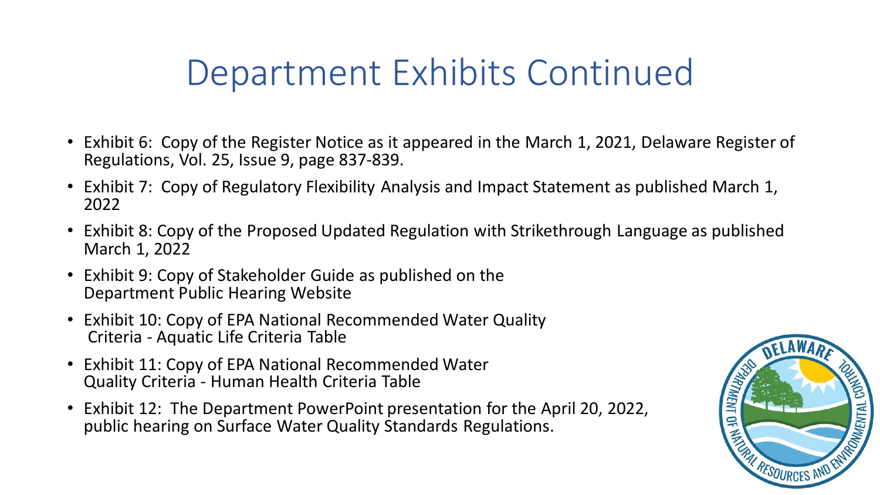# Department Exhibits Continued

- Exhibit 6: Copy of the Register Notice as it appeared in the March 1, 2021, Delaware Register of Regulations, Vol. 25, Issue 9, page 837-839.
- Exhibit 7: Copy of Regulatory Flexibility Analysis and Impact Statement as published March 1, 2022
- Exhibit 8: Copy of the Proposed Updated Regulation with Strikethrough Language as published March 1, 2022
- Exhibit 9: Copy of Stakeholder Guide as published on the Department Public Hearing Website
- Exhibit 10: Copy of EPA National Recommended Water Quality Criteria - Aquatic Life Criteria Table
- Exhibit 11: Copy of EPA National Recommended Water Quality Criteria - Human Health Criteria Table
- Exhibit 12: The Department PowerPoint presentation for the April 20, 2022, public hearing on Surface Water Quality Standards Regulations.

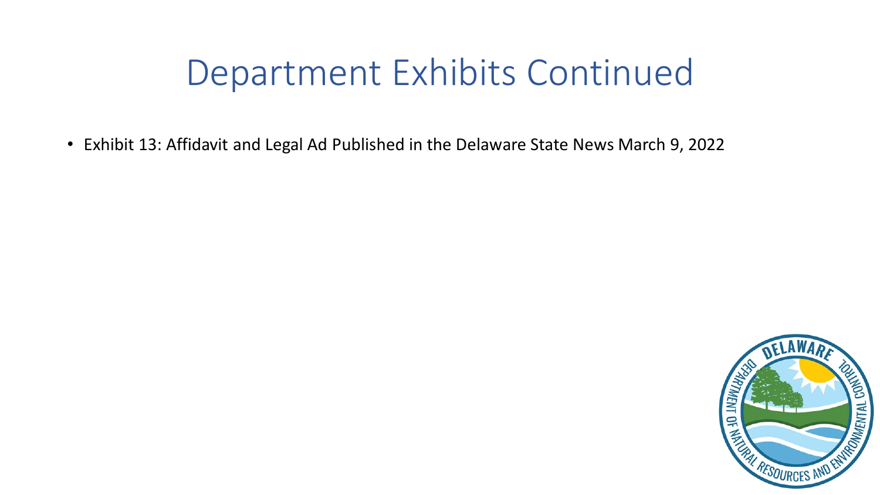### Department Exhibits Continued

• Exhibit 13: Affidavit and Legal Ad Published in the Delaware State News March 9, 2022